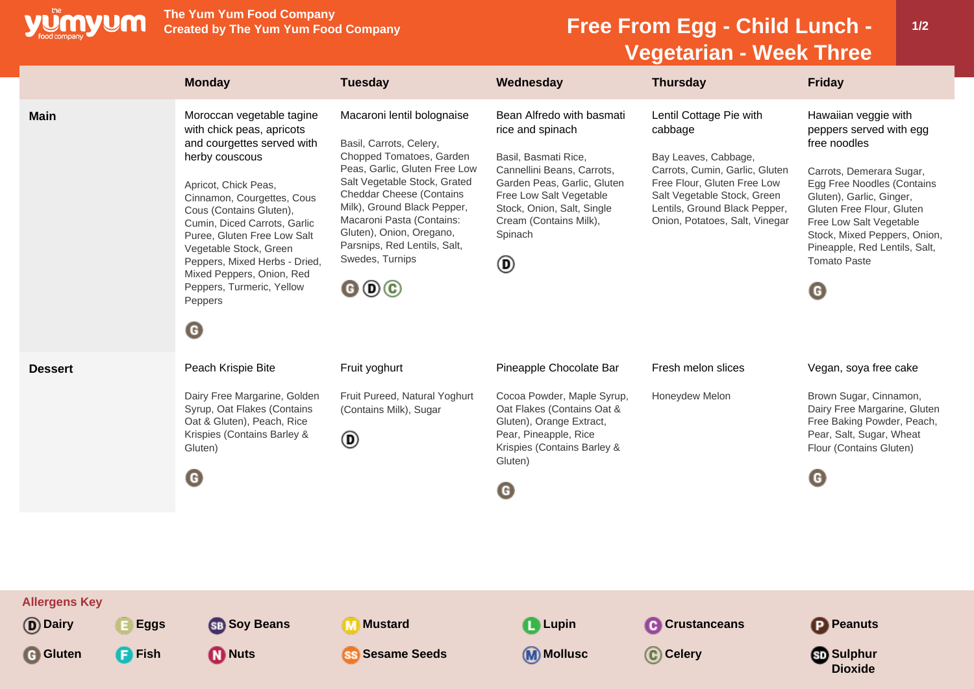

**The Yum Yum Food Company**

## **Free From Egg - Child Lunch -Vegetarian - Week Three**

|                                               |                                  | <b>Monday</b>                                                                                                                                                                                                                                                                                                                                                                                              | <b>Tuesday</b>                                                                                                                                                                                                                                                                                                                                                                        | Wednesday                                                                                                                                                                                                                             | <b>Thursday</b>                                                                                                                                                                                                               | <b>Friday</b>                                                                                                                                                                                                                                                                                                                  |
|-----------------------------------------------|----------------------------------|------------------------------------------------------------------------------------------------------------------------------------------------------------------------------------------------------------------------------------------------------------------------------------------------------------------------------------------------------------------------------------------------------------|---------------------------------------------------------------------------------------------------------------------------------------------------------------------------------------------------------------------------------------------------------------------------------------------------------------------------------------------------------------------------------------|---------------------------------------------------------------------------------------------------------------------------------------------------------------------------------------------------------------------------------------|-------------------------------------------------------------------------------------------------------------------------------------------------------------------------------------------------------------------------------|--------------------------------------------------------------------------------------------------------------------------------------------------------------------------------------------------------------------------------------------------------------------------------------------------------------------------------|
| <b>Main</b>                                   |                                  | Moroccan vegetable tagine<br>with chick peas, apricots<br>and courgettes served with<br>herby couscous<br>Apricot, Chick Peas,<br>Cinnamon, Courgettes, Cous<br>Cous (Contains Gluten),<br>Cumin, Diced Carrots, Garlic<br>Puree, Gluten Free Low Salt<br>Vegetable Stock, Green<br>Peppers, Mixed Herbs - Dried,<br>Mixed Peppers, Onion, Red<br>Peppers, Turmeric, Yellow<br>Peppers<br>$\mathbf \Theta$ | Macaroni lentil bolognaise<br>Basil, Carrots, Celery,<br>Chopped Tomatoes, Garden<br>Peas, Garlic, Gluten Free Low<br>Salt Vegetable Stock, Grated<br><b>Cheddar Cheese (Contains</b><br>Milk), Ground Black Pepper,<br>Macaroni Pasta (Contains:<br>Gluten), Onion, Oregano,<br>Parsnips, Red Lentils, Salt,<br>Swedes, Turnips<br>$\mathbf{\Theta} \mathbf{\Theta} \mathbf{\Theta}$ | Bean Alfredo with basmati<br>rice and spinach<br>Basil, Basmati Rice,<br>Cannellini Beans, Carrots,<br>Garden Peas, Garlic, Gluten<br>Free Low Salt Vegetable<br>Stock, Onion, Salt, Single<br>Cream (Contains Milk),<br>Spinach<br>◉ | Lentil Cottage Pie with<br>cabbage<br>Bay Leaves, Cabbage,<br>Carrots, Cumin, Garlic, Gluten<br>Free Flour, Gluten Free Low<br>Salt Vegetable Stock, Green<br>Lentils, Ground Black Pepper,<br>Onion, Potatoes, Salt, Vinegar | Hawaiian veggie with<br>peppers served with egg<br>free noodles<br>Carrots, Demerara Sugar,<br>Egg Free Noodles (Contains<br>Gluten), Garlic, Ginger,<br>Gluten Free Flour, Gluten<br>Free Low Salt Vegetable<br>Stock, Mixed Peppers, Onion,<br>Pineapple, Red Lentils, Salt,<br><b>Tomato Paste</b><br>$\boldsymbol{\Theta}$ |
| <b>Dessert</b>                                |                                  | Peach Krispie Bite<br>Dairy Free Margarine, Golden<br>Syrup, Oat Flakes (Contains<br>Oat & Gluten), Peach, Rice<br>Krispies (Contains Barley &<br>Gluten)<br>$\mathbf \Theta$                                                                                                                                                                                                                              | Fruit yoghurt<br>Fruit Pureed, Natural Yoghurt<br>(Contains Milk), Sugar<br>$^{\circledR}$                                                                                                                                                                                                                                                                                            | Pineapple Chocolate Bar<br>Cocoa Powder, Maple Syrup,<br>Oat Flakes (Contains Oat &<br>Gluten), Orange Extract,<br>Pear, Pineapple, Rice<br>Krispies (Contains Barley &<br>Gluten)<br>O                                               | Fresh melon slices<br>Honeydew Melon                                                                                                                                                                                          | Vegan, soya free cake<br>Brown Sugar, Cinnamon,<br>Dairy Free Margarine, Gluten<br>Free Baking Powder, Peach,<br>Pear, Salt, Sugar, Wheat<br>Flour (Contains Gluten)<br>$\boldsymbol{\Theta}$                                                                                                                                  |
| <b>Allergens Key</b><br>(D) Dairy<br>G Gluten | <b>Eggs</b><br>$\mathsf{F}$ Fish | <b>SB</b> Soy Beans<br><b>Nuts</b>                                                                                                                                                                                                                                                                                                                                                                         | <b>Mustard</b><br><b>Sesame Seeds</b>                                                                                                                                                                                                                                                                                                                                                 | <b>Lupin</b><br>(M) Mollusc                                                                                                                                                                                                           | <b>Crustanceans</b><br>C Celery                                                                                                                                                                                               | Peanuts<br><b>ு</b> Sulphur<br><b>Dioxide</b>                                                                                                                                                                                                                                                                                  |